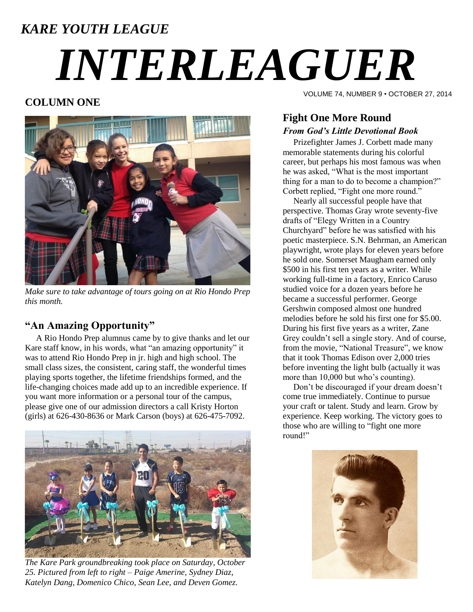### *KARE YOUTH LEAGUE*

# *INTERLEAGUER*

#### **COLUMN ONE**



*Make sure to take advantage of tours going on at Rio Hondo Prep this month.*

#### **"An Amazing Opportunity"**

A Rio Hondo Prep alumnus came by to give thanks and let our Kare staff know, in his words, what "an amazing opportunity" it was to attend Rio Hondo Prep in jr. high and high school. The small class sizes, the consistent, caring staff, the wonderful times playing sports together, the lifetime friendships formed, and the life-changing choices made add up to an incredible experience. If you want more information or a personal tour of the campus, please give one of our admission directors a call Kristy Horton (girls) at 626-430-8636 or Mark Carson (boys) at 626-475-7092.



*The Kare Park groundbreaking took place on Saturday, October 25. Pictured from left to right – Paige Amerine, Sydney Diaz, Katelyn Dang, Domenico Chico, Sean Lee, and Deven Gomez.*

VOLUME 74, NUMBER 9 • OCTOBER 27, 2014

#### **Fight One More Round** *From God's Little Devotional Book*

 Prizefighter James J. Corbett made many memorable statements during his colorful career, but perhaps his most famous was when he was asked, "What is the most important thing for a man to do to become a champion?" Corbett replied, "Fight one more round."

 Nearly all successful people have that perspective. Thomas Gray wrote seventy-five drafts of "Elegy Written in a Country Churchyard" before he was satisfied with his poetic masterpiece. S.N. Behrman, an American playwright, wrote plays for eleven years before he sold one. Somerset Maugham earned only \$500 in his first ten years as a writer. While working full-time in a factory, Enrico Caruso studied voice for a dozen years before he became a successful performer. George Gershwin composed almost one hundred melodies before he sold his first one for \$5.00. During his first five years as a writer, Zane Grey couldn't sell a single story. And of course, from the movie, "National Treasure", we know that it took Thomas Edison over 2,000 tries before inventing the light bulb (actually it was more than 10,000 but who's counting).

 Don't be discouraged if your dream doesn't come true immediately. Continue to pursue your craft or talent. Study and learn. Grow by experience. Keep working. The victory goes to those who are willing to "fight one more round!"